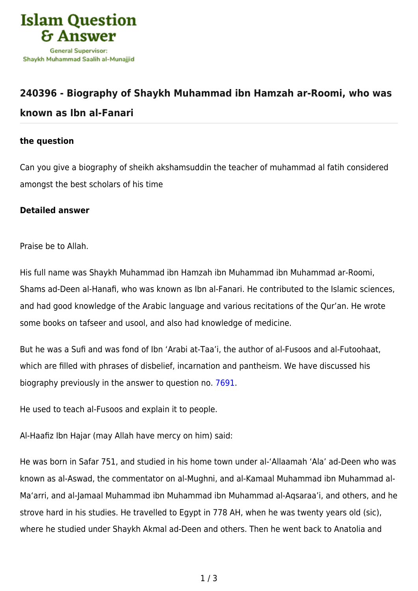

## **[240396 - Biography of Shaykh Muhammad ibn Hamzah ar-Roomi, who was](https://islamqa.com/en/answers/240396/biography-of-shaykh-muhammad-ibn-hamzah-ar-roomi-who-was-known-as-ibn-al-fanari) [known as Ibn al-Fanari](https://islamqa.com/en/answers/240396/biography-of-shaykh-muhammad-ibn-hamzah-ar-roomi-who-was-known-as-ibn-al-fanari)**

## **the question**

Can you give a biography of sheikh akshamsuddin the teacher of muhammad al fatih considered amongst the best scholars of his time

## **Detailed answer**

Praise be to Allah.

His full name was Shaykh Muhammad ibn Hamzah ibn Muhammad ibn Muhammad ar-Roomi, Shams ad-Deen al-Hanafi, who was known as Ibn al-Fanari. He contributed to the Islamic sciences, and had good knowledge of the Arabic language and various recitations of the Qur'an. He wrote some books on tafseer and usool, and also had knowledge of medicine.

But he was a Sufi and was fond of Ibn 'Arabi at-Taa'i, the author of al-Fusoos and al-Futoohaat, which are filled with phrases of disbelief, incarnation and pantheism. We have discussed his biography previously in the answer to question no. [7691](https://islamqa.com/en/answers/7691).

He used to teach al-Fusoos and explain it to people.

Al-Haafiz Ibn Hajar (may Allah have mercy on him) said:

He was born in Safar 751, and studied in his home town under al-'Allaamah 'Ala' ad-Deen who was known as al-Aswad, the commentator on al-Mughni, and al-Kamaal Muhammad ibn Muhammad al-Ma'arri, and al-Jamaal Muhammad ibn Muhammad ibn Muhammad al-Aqsaraa'i, and others, and he strove hard in his studies. He travelled to Egypt in 778 AH, when he was twenty years old (sic), where he studied under Shaykh Akmal ad-Deen and others. Then he went back to Anatolia and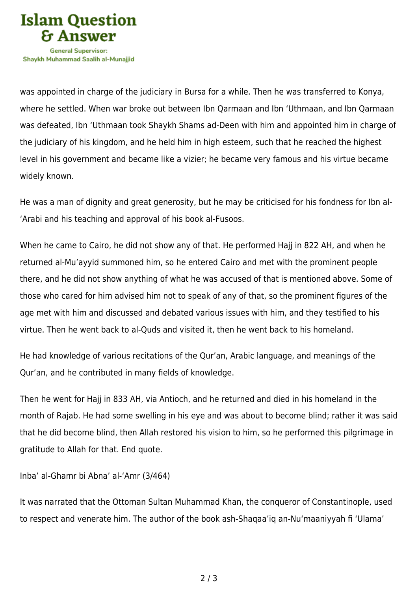

was appointed in charge of the judiciary in Bursa for a while. Then he was transferred to Konya, where he settled. When war broke out between Ibn Qarmaan and Ibn 'Uthmaan, and Ibn Qarmaan was defeated, Ibn 'Uthmaan took Shaykh Shams ad-Deen with him and appointed him in charge of the judiciary of his kingdom, and he held him in high esteem, such that he reached the highest level in his government and became like a vizier; he became very famous and his virtue became widely known.

He was a man of dignity and great generosity, but he may be criticised for his fondness for Ibn al- 'Arabi and his teaching and approval of his book al-Fusoos.

When he came to Cairo, he did not show any of that. He performed Hajj in 822 AH, and when he returned al-Mu'ayyid summoned him, so he entered Cairo and met with the prominent people there, and he did not show anything of what he was accused of that is mentioned above. Some of those who cared for him advised him not to speak of any of that, so the prominent figures of the age met with him and discussed and debated various issues with him, and they testified to his virtue. Then he went back to al-Quds and visited it, then he went back to his homeland.

He had knowledge of various recitations of the Qur'an, Arabic language, and meanings of the Qur'an, and he contributed in many fields of knowledge.

Then he went for Hajj in 833 AH, via Antioch, and he returned and died in his homeland in the month of Rajab. He had some swelling in his eye and was about to become blind; rather it was said that he did become blind, then Allah restored his vision to him, so he performed this pilgrimage in gratitude to Allah for that. End quote.

Inba' al-Ghamr bi Abna' al-'Amr (3/464)

It was narrated that the Ottoman Sultan Muhammad Khan, the conqueror of Constantinople, used to respect and venerate him. The author of the book ash-Shaqaa'iq an-Nu'maaniyyah fi 'Ulama'